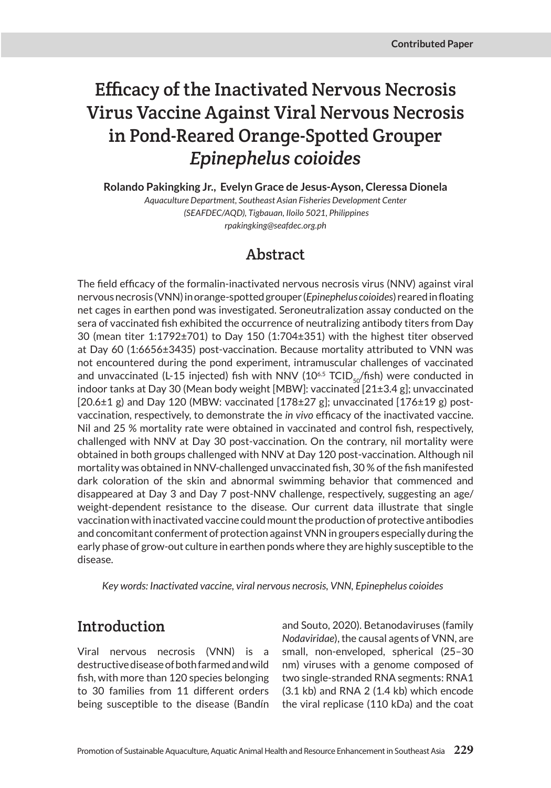# Efficacy of the Inactivated Nervous Necrosis Virus Vaccine Against Viral Nervous Necrosis in Pond-Reared Orange-Spotted Grouper *Epinephelus coioides*

**Rolando Pakingking Jr., Evelyn Grace de Jesus-Ayson, Cleressa Dionela** 

*Aquaculture Department, Southeast Asian Fisheries Development Center (SEAFDEC/AQD), Tigbauan, Iloilo 5021, Philippines rpakingking@seafdec.org.ph*

## Abstract

The field efficacy of the formalin-inactivated nervous necrosis virus (NNV) against viral nervous necrosis (VNN) in orange-spotted grouper (*Epinephelus coioides*) reared in floating net cages in earthen pond was investigated. Seroneutralization assay conducted on the sera of vaccinated fish exhibited the occurrence of neutralizing antibody titers from Day 30 (mean titer 1:1792±701) to Day 150 (1:704±351) with the highest titer observed at Day 60 (1:6656±3435) post-vaccination. Because mortality attributed to VNN was not encountered during the pond experiment, intramuscular challenges of vaccinated and unvaccinated (L-15 injected) fish with NNV ( $10^{6.5}$  TCID<sub>so</sub>/fish) were conducted in indoor tanks at Day 30 (Mean body weight [MBW]: vaccinated [21±3.4 g]; unvaccinated  $[20.6\pm1$  g) and Day 120 (MBW: vaccinated  $[178\pm27$  g]; unvaccinated  $[176\pm19$  g) postvaccination, respectively, to demonstrate the *in vivo* efficacy of the inactivated vaccine. Nil and 25 % mortality rate were obtained in vaccinated and control fish, respectively, challenged with NNV at Day 30 post-vaccination. On the contrary, nil mortality were obtained in both groups challenged with NNV at Day 120 post-vaccination. Although nil mortality was obtained in NNV-challenged unvaccinated fish, 30 % of the fish manifested dark coloration of the skin and abnormal swimming behavior that commenced and disappeared at Day 3 and Day 7 post-NNV challenge, respectively, suggesting an age/ weight-dependent resistance to the disease. Our current data illustrate that single vaccination with inactivated vaccine could mount the production of protective antibodies and concomitant conferment of protection against VNN in groupers especially during the early phase of grow-out culture in earthen ponds where they are highly susceptible to the disease.

*Key words: Inactivated vaccine, viral nervous necrosis, VNN, Epinephelus coioides*

### Introduction

Viral nervous necrosis (VNN) is a destructive disease of both farmed and wild fish, with more than 120 species belonging to 30 families from 11 different orders being susceptible to the disease (Bandín

and Souto, 2020). Betanodaviruses (family *Nodaviridae*), the causal agents of VNN, are small, non-enveloped, spherical (25–30 nm) viruses with a genome composed of two single-stranded RNA segments: RNA1 (3.1 kb) and RNA 2 (1.4 kb) which encode the viral replicase (110 kDa) and the coat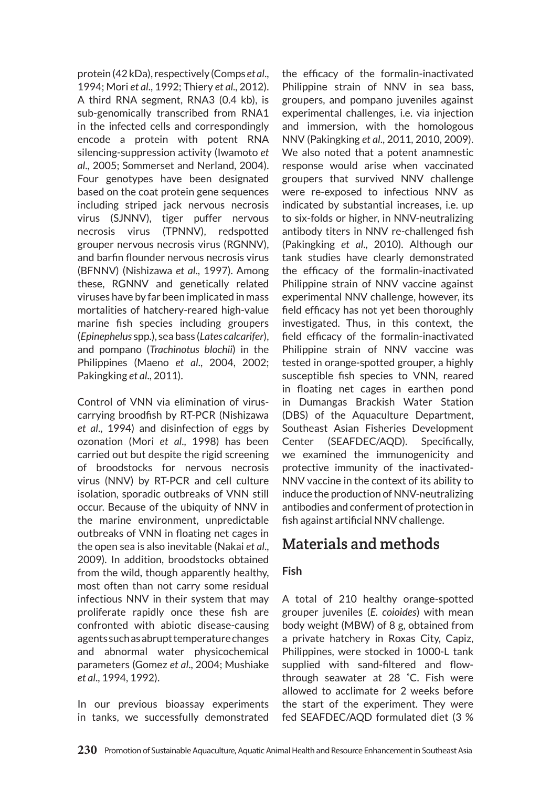protein (42 kDa), respectively (Comps *et al*., 1994; Mori *et al*., 1992; Thiery *et al*., 2012). A third RNA segment, RNA3 (0.4 kb), is sub-genomically transcribed from RNA1 in the infected cells and correspondingly encode a protein with potent RNA silencing-suppression activity (Iwamoto *et al*., 2005; Sommerset and Nerland, 2004). Four genotypes have been designated based on the coat protein gene sequences including striped jack nervous necrosis virus (SJNNV), tiger puffer nervous necrosis virus (TPNNV), redspotted grouper nervous necrosis virus (RGNNV), and barfin flounder nervous necrosis virus (BFNNV) (Nishizawa *et al*., 1997). Among these, RGNNV and genetically related viruses have by far been implicated in mass mortalities of hatchery-reared high-value marine fish species including groupers (*Epinephelus* spp.), sea bass (*Lates calcarifer*), and pompano (*Trachinotus blochii*) in the Philippines (Maeno *et al*., 2004, 2002; Pakingking *et al*., 2011).

Control of VNN via elimination of viruscarrying broodfish by RT-PCR (Nishizawa *et al*., 1994) and disinfection of eggs by ozonation (Mori *et al*., 1998) has been carried out but despite the rigid screening of broodstocks for nervous necrosis virus (NNV) by RT-PCR and cell culture isolation, sporadic outbreaks of VNN still occur. Because of the ubiquity of NNV in the marine environment, unpredictable outbreaks of VNN in floating net cages in the open sea is also inevitable (Nakai *et al*., 2009). In addition, broodstocks obtained from the wild, though apparently healthy, most often than not carry some residual infectious NNV in their system that may proliferate rapidly once these fish are confronted with abiotic disease-causing agents such as abrupt temperature changes and abnormal water physicochemical parameters (Gomez *et al*., 2004; Mushiake *et al*., 1994, 1992).

In our previous bioassay experiments in tanks, we successfully demonstrated

the efficacy of the formalin-inactivated Philippine strain of NNV in sea bass, groupers, and pompano juveniles against experimental challenges, i.e. via injection and immersion, with the homologous NNV (Pakingking *et al*., 2011, 2010, 2009). We also noted that a potent anamnestic response would arise when vaccinated groupers that survived NNV challenge were re-exposed to infectious NNV as indicated by substantial increases, i.e. up to six-folds or higher, in NNV-neutralizing antibody titers in NNV re-challenged fish (Pakingking *et al*., 2010). Although our tank studies have clearly demonstrated the efficacy of the formalin-inactivated Philippine strain of NNV vaccine against experimental NNV challenge, however, its field efficacy has not yet been thoroughly investigated. Thus, in this context, the field efficacy of the formalin-inactivated Philippine strain of NNV vaccine was tested in orange-spotted grouper, a highly susceptible fish species to VNN, reared in floating net cages in earthen pond in Dumangas Brackish Water Station (DBS) of the Aquaculture Department, Southeast Asian Fisheries Development Center (SEAFDEC/AQD). Specifically, we examined the immunogenicity and protective immunity of the inactivated-NNV vaccine in the context of its ability to induce the production of NNV-neutralizing antibodies and conferment of protection in fish against artificial NNV challenge.

## Materials and methods

#### **Fish**

A total of 210 healthy orange-spotted grouper juveniles (*E. coioides*) with mean body weight (MBW) of 8 g, obtained from a private hatchery in Roxas City, Capiz, Philippines, were stocked in 1000-L tank supplied with sand-filtered and flowthrough seawater at 28 ˚C. Fish were allowed to acclimate for 2 weeks before the start of the experiment. They were fed SEAFDEC/AQD formulated diet (3 %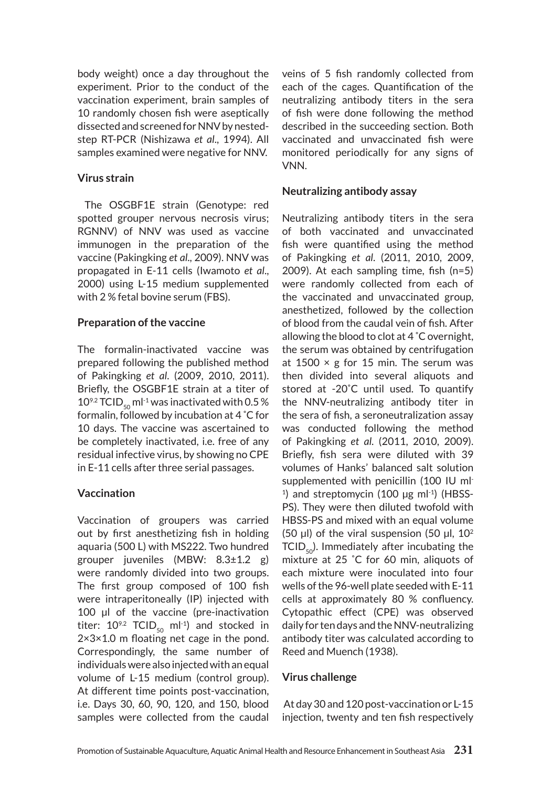body weight) once a day throughout the experiment. Prior to the conduct of the vaccination experiment, brain samples of 10 randomly chosen fish were aseptically dissected and screened for NNV by nestedstep RT-PCR (Nishizawa *et al*., 1994). All samples examined were negative for NNV.

#### **Virus strain**

 The OSGBF1E strain (Genotype: red spotted grouper nervous necrosis virus; RGNNV) of NNV was used as vaccine immunogen in the preparation of the vaccine (Pakingking *et al*., 2009). NNV was propagated in E-11 cells (Iwamoto *et al*., 2000) using L-15 medium supplemented with 2 % fetal bovine serum (FBS).

#### **Preparation of the vaccine**

The formalin-inactivated vaccine was prepared following the published method of Pakingking *et al*. (2009, 2010, 2011). Briefly, the OSGBF1E strain at a titer of 10<sup>9.2</sup> TCID<sub>50</sub> ml<sup>-1</sup> was inactivated with 0.5 % formalin, followed by incubation at 4 ˚C for 10 days. The vaccine was ascertained to be completely inactivated, i.e. free of any residual infective virus, by showing no CPE in E-11 cells after three serial passages.

#### **Vaccination**

Vaccination of groupers was carried out by first anesthetizing fish in holding aquaria (500 L) with MS222. Two hundred grouper juveniles (MBW: 8.3±1.2 g) were randomly divided into two groups. The first group composed of 100 fish were intraperitoneally (IP) injected with 100 µl of the vaccine (pre-inactivation titer:  $10^{9.2}$  TCID<sub>50</sub> ml<sup>-1</sup>) and stocked in 2×3×1.0 m floating net cage in the pond. Correspondingly, the same number of individuals were also injected with an equal volume of L-15 medium (control group). At different time points post-vaccination, i.e. Days 30, 60, 90, 120, and 150, blood samples were collected from the caudal

veins of 5 fish randomly collected from each of the cages. Quantification of the neutralizing antibody titers in the sera of fish were done following the method described in the succeeding section. Both vaccinated and unvaccinated fish were monitored periodically for any signs of VNN.

#### **Neutralizing antibody assay**

Neutralizing antibody titers in the sera of both vaccinated and unvaccinated fish were quantified using the method of Pakingking *et al*. (2011, 2010, 2009, 2009). At each sampling time, fish (n=5) were randomly collected from each of the vaccinated and unvaccinated group, anesthetized, followed by the collection of blood from the caudal vein of fish. After allowing the blood to clot at 4 ˚C overnight, the serum was obtained by centrifugation at  $1500 \times g$  for 15 min. The serum was then divided into several aliquots and stored at -20˚C until used. To quantify the NNV-neutralizing antibody titer in the sera of fish, a seroneutralization assay was conducted following the method of Pakingking *et al*. (2011, 2010, 2009). Briefly, fish sera were diluted with 39 volumes of Hanks' balanced salt solution supplemented with penicillin (100 IU ml- $1)$  and streptomycin (100 µg m $11)$  (HBSS-PS). They were then diluted twofold with HBSS-PS and mixed with an equal volume (50  $\mu$ l) of the viral suspension (50  $\mu$ l, 10<sup>2</sup>  $TCID_{50}$ ). Immediately after incubating the mixture at 25 ˚C for 60 min, aliquots of each mixture were inoculated into four wells of the 96-well plate seeded with E-11 cells at approximately 80 % confluency. Cytopathic effect (CPE) was observed daily for ten days and the NNV-neutralizing antibody titer was calculated according to Reed and Muench (1938).

#### **Virus challenge**

 At day 30 and 120 post-vaccination or L-15 injection, twenty and ten fish respectively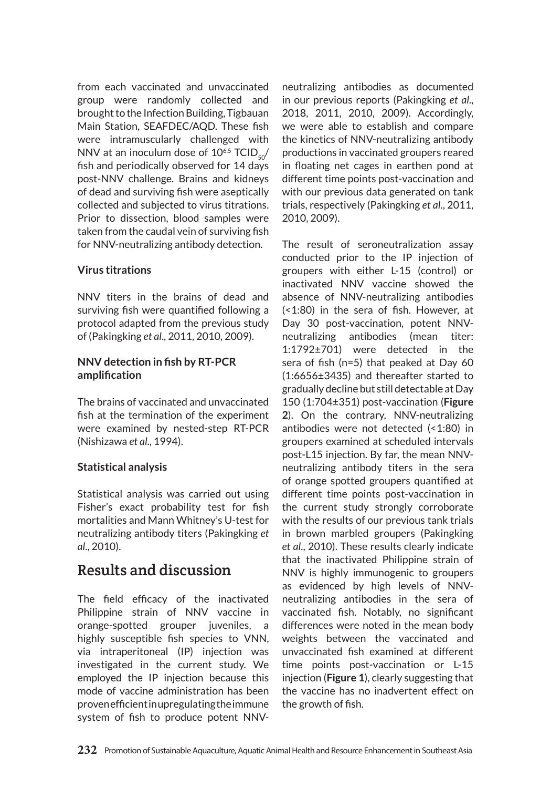from each vaccinated and unvaccinated group were randomly collected and brought to the Infection Building, Tigbauan Main Station, SEAFDEC/AQD. These fish were intramuscularly challenged with NNV at an inoculum dose of  $10^{6.5}$  TCID<sub>50</sub>/ fish and periodically observed for 14 days post-NNV challenge. Brains and kidneys of dead and surviving fish were aseptically collected and subjected to virus titrations. Prior to dissection, blood samples were taken from the caudal vein of surviving fish for NNV-neutralizing antibody detection.

#### **Virus titrations**

NNV titers in the brains of dead and surviving fish were quantified following a protocol adapted from the previous study of (Pakingking *et al*., 2011, 2010, 2009).

#### **NNV detection in fish by RT-PCR amplification**

The brains of vaccinated and unvaccinated fish at the termination of the experiment were examined by nested-step RT-PCR (Nishizawa *et al*., 1994).

#### **Statistical analysis**

Statistical analysis was carried out using Fisher's exact probability test for fish mortalities and Mann Whitney's U-test for neutralizing antibody titers (Pakingking *et al*., 2010).

## Results and discussion

The field efficacy of the inactivated Philippine strain of NNV vaccine in orange-spotted grouper juveniles, a highly susceptible fish species to VNN, via intraperitoneal (IP) injection was investigated in the current study. We employed the IP injection because this mode of vaccine administration has been proven efficient in upregulating the immune system of fish to produce potent NNV- neutralizing antibodies as documented in our previous reports (Pakingking *et al*., 2018, 2011, 2010, 2009). Accordingly, we were able to establish and compare the kinetics of NNV-neutralizing antibody productions in vaccinated groupers reared in floating net cages in earthen pond at different time points post-vaccination and with our previous data generated on tank trials, respectively (Pakingking *et al*., 2011, 2010, 2009).

The result of seroneutralization assay conducted prior to the IP injection of groupers with either L-15 (control) or inactivated NNV vaccine showed the absence of NNV-neutralizing antibodies (<1:80) in the sera of fish. However, at Day 30 post-vaccination, potent NNVneutralizing antibodies (mean titer: 1:1792±701) were detected in the sera of fish (n=5) that peaked at Day 60 (1:6656±3435) and thereafter started to gradually decline but still detectable at Day 150 (1:704±351) post-vaccination (**Figure 2**). On the contrary, NNV-neutralizing antibodies were not detected (<1:80) in groupers examined at scheduled intervals post-L15 injection. By far, the mean NNVneutralizing antibody titers in the sera of orange spotted groupers quantified at different time points post-vaccination in the current study strongly corroborate with the results of our previous tank trials in brown marbled groupers (Pakingking *et al*., 2010). These results clearly indicate that the inactivated Philippine strain of NNV is highly immunogenic to groupers as evidenced by high levels of NNVneutralizing antibodies in the sera of vaccinated fish. Notably, no significant differences were noted in the mean body weights between the vaccinated and unvaccinated fish examined at different time points post-vaccination or L-15 injection (**Figure 1**), clearly suggesting that the vaccine has no inadvertent effect on the growth of fish.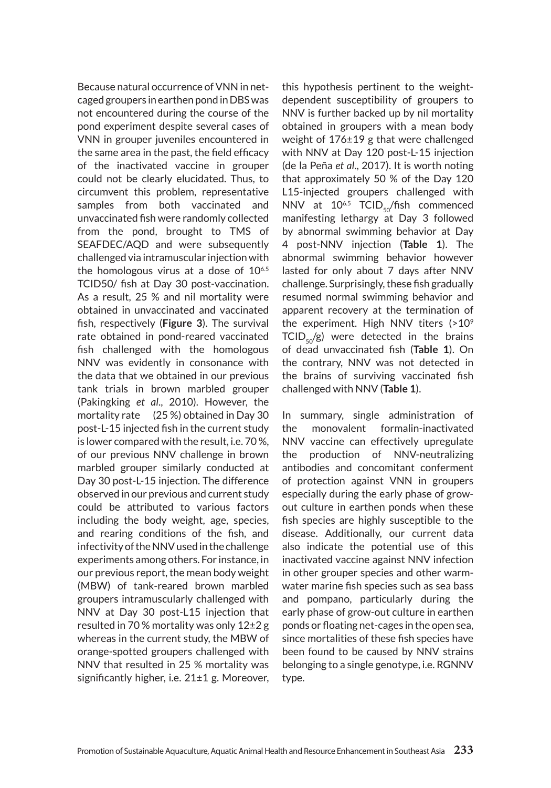Because natural occurrence of VNN in netcaged groupers in earthen pond in DBS was not encountered during the course of the pond experiment despite several cases of VNN in grouper juveniles encountered in the same area in the past, the field efficacy of the inactivated vaccine in grouper could not be clearly elucidated. Thus, to circumvent this problem, representative samples from both vaccinated and unvaccinated fish were randomly collected from the pond, brought to TMS of SEAFDEC/AQD and were subsequently challenged via intramuscular injection with the homologous virus at a dose of  $10^{6.5}$ TCID50/ fish at Day 30 post-vaccination. As a result, 25 % and nil mortality were obtained in unvaccinated and vaccinated fish, respectively (**Figure 3**). The survival rate obtained in pond-reared vaccinated fish challenged with the homologous NNV was evidently in consonance with the data that we obtained in our previous tank trials in brown marbled grouper (Pakingking *et al*., 2010). However, the mortality rate (25 %) obtained in Day 30 post-L-15 injected fish in the current study is lower compared with the result, i.e. 70 %, of our previous NNV challenge in brown marbled grouper similarly conducted at Day 30 post-L-15 injection. The difference observed in our previous and current study could be attributed to various factors including the body weight, age, species, and rearing conditions of the fish, and infectivity of the NNV used in the challenge experiments among others. For instance, in our previous report, the mean body weight (MBW) of tank-reared brown marbled groupers intramuscularly challenged with NNV at Day 30 post-L15 injection that resulted in 70 % mortality was only 12±2 g whereas in the current study, the MBW of orange-spotted groupers challenged with NNV that resulted in 25 % mortality was significantly higher, i.e. 21±1 g. Moreover, this hypothesis pertinent to the weightdependent susceptibility of groupers to NNV is further backed up by nil mortality obtained in groupers with a mean body weight of 176±19 g that were challenged with NNV at Day 120 post-L-15 injection (de la Peña *et al*., 2017). It is worth noting that approximately 50 % of the Day 120 L15-injected groupers challenged with NNV at  $10^{6.5}$  TCID<sub>50</sub>/fish commenced manifesting lethargy at Day 3 followed by abnormal swimming behavior at Day 4 post-NNV injection (**Table 1**). The abnormal swimming behavior however lasted for only about 7 days after NNV challenge. Surprisingly, these fish gradually resumed normal swimming behavior and apparent recovery at the termination of the experiment. High NNV titers (>10<sup>9</sup>  $TCID_{50}/g$ ) were detected in the brains of dead unvaccinated fish (**Table 1**). On the contrary, NNV was not detected in the brains of surviving vaccinated fish challenged with NNV (**Table 1**).

In summary, single administration of the monovalent formalin-inactivated NNV vaccine can effectively upregulate the production of NNV-neutralizing antibodies and concomitant conferment of protection against VNN in groupers especially during the early phase of growout culture in earthen ponds when these fish species are highly susceptible to the disease. Additionally, our current data also indicate the potential use of this inactivated vaccine against NNV infection in other grouper species and other warmwater marine fish species such as sea bass and pompano, particularly during the early phase of grow-out culture in earthen ponds or floating net-cages in the open sea, since mortalities of these fish species have been found to be caused by NNV strains belonging to a single genotype, i.e. RGNNV type.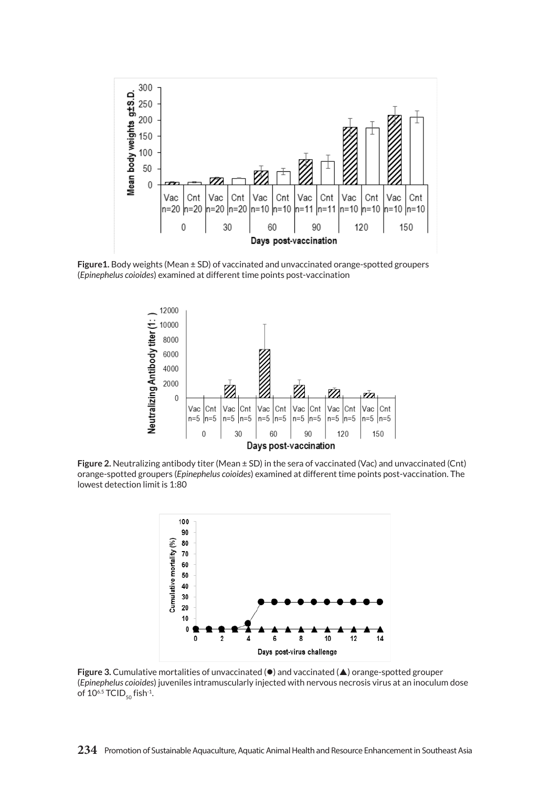

**Figure1.** Body weights (Mean ± SD) of vaccinated and unvaccinated orange-spotted groupers (*Epinephelus coioides*) examined at different time points post-vaccination



Figure 2. Neutralizing antibody titer (Mean ± SD) in the sera of vaccinated (Vac) and unvaccinated (Cnt) orange-spotted groupers (*Epinephelus coioides*) examined at different time points post-vaccination. The lowest detection limit is 1:80



**Figure 3.** Cumulative mortalities of unvaccinated ( $\bullet$ ) and vaccinated ( $\triangle$ ) orange-spotted grouper (*Epinephelus coioides*) juveniles intramuscularly injected with nervous necrosis virus at an inoculum dose of  $10^{6.5}$  TCID<sub>50</sub> fish<sup>-1</sup>.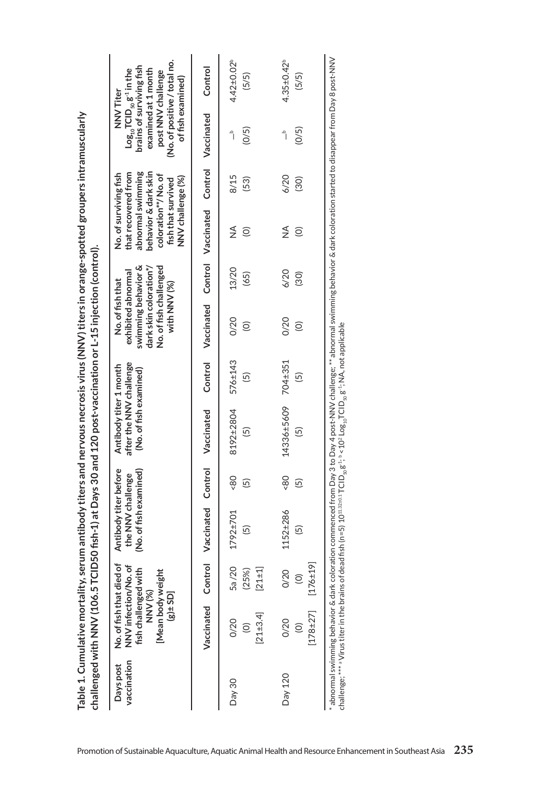| vaccination<br>Days post | No. of fish that died of<br>NNV infection/No. of<br>fish challenged with<br>[Mean body weight<br>NNV(%)<br>$[0.5 + 8]$ |                                         | Antibody titer before<br>(No. of fish examined)<br>e NNV challenge<br>ŧ |                      | after the NNV challenge<br>Antibody titer 1 month<br>(No. of fish examined) |                           | swimming behavior &<br>dark skin coloration*/<br>No. of fish challenged<br>exhibited abnormal<br>No. of fish that<br>with NNV (%) |               | behavior & dark skin<br>abnormal swimming<br>that recovered from<br>No. of surviving fish<br>coloration**/No.of<br>NNV challenge (%)<br>fish that survived |              | (No. of positive / total no.<br>brains of surviving fish<br>$\text{Log}_{10}$ TCID <sub>50</sub> $\text{g}^{\text{-1}}$ in the<br>examined at 1 month<br>post NNV challenge<br>of fish examined)<br>NNV Titer |                            |
|--------------------------|------------------------------------------------------------------------------------------------------------------------|-----------------------------------------|-------------------------------------------------------------------------|----------------------|-----------------------------------------------------------------------------|---------------------------|-----------------------------------------------------------------------------------------------------------------------------------|---------------|------------------------------------------------------------------------------------------------------------------------------------------------------------|--------------|---------------------------------------------------------------------------------------------------------------------------------------------------------------------------------------------------------------|----------------------------|
|                          | Vaccinated                                                                                                             | Control                                 | Vaccinated                                                              | Control              | Vaccinated                                                                  | Control                   | Vaccinated                                                                                                                        |               | Control Vaccinated                                                                                                                                         | Control      | Vaccinated                                                                                                                                                                                                    | Control                    |
| Day 30                   | $[21 \pm 3.4]$<br>0/20<br>$\widehat{\circ}$                                                                            | 5a/20<br>$[21 \pm 1]$<br>(25%)          | 92±701<br>5)<br>17                                                      | 80<br>$\overline{5}$ | 8192±2804<br>6                                                              | 576±143<br>$\overline{5}$ | 0/20<br>$\widehat{\circ}$                                                                                                         | 13/20<br>(65) | $\frac{4}{2}$<br>$\widehat{\odot}$                                                                                                                         | 8/15<br>(53) | (0/5)<br>م<br>أ                                                                                                                                                                                               | $4.42 \pm 0.02^b$<br>(5/5) |
| Day 120                  | $178 + 27$<br>0/20<br>$\odot$                                                                                          | $[176+19]$<br>0/20<br>$\widehat{\odot}$ | 52±286<br>$\overline{5}$<br>$\Xi$                                       | 80<br>$\overline{5}$ | 14336±5609<br>6                                                             | 704±351<br>$\overline{5}$ | 0/20<br>$\widehat{\odot}$                                                                                                         | 6/20<br>(30)  | ≸<br>$\odot$                                                                                                                                               | 6/20<br>(30) | (0/5)<br>$\mathring{\mathsf{I}}$                                                                                                                                                                              | $4.35 \pm 0.42^b$<br>(5/5) |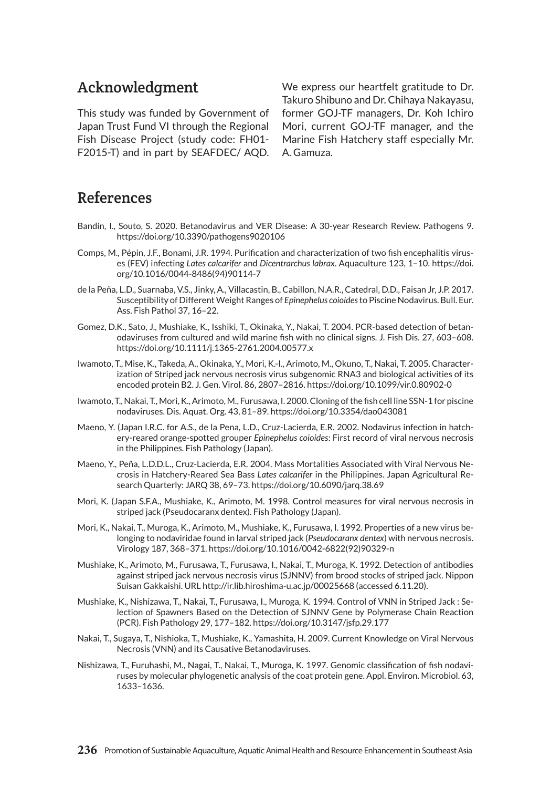## Acknowledgment

This study was funded by Government of Japan Trust Fund VI through the Regional Fish Disease Project (study code: FH01- F2015-T) and in part by SEAFDEC/ AQD. We express our heartfelt gratitude to Dr. Takuro Shibuno and Dr. Chihaya Nakayasu, former GOJ-TF managers, Dr. Koh Ichiro Mori, current GOJ-TF manager, and the Marine Fish Hatchery staff especially Mr. A. Gamuza.

## References

- Bandín, I., Souto, S. 2020. Betanodavirus and VER Disease: A 30-year Research Review. Pathogens 9. https://doi.org/10.3390/pathogens9020106
- Comps, M., Pépin, J.F., Bonami, J.R. 1994. Purification and characterization of two fish encephalitis viruses (FEV) infecting *Lates calcarifer* and *Dicentrarchus labrax*. Aquaculture 123, 1–10. https://doi. org/10.1016/0044-8486(94)90114-7
- de la Peña, L.D., Suarnaba, V.S., Jinky, A., Villacastin, B., Cabillon, N.A.R., Catedral, D.D., Faisan Jr, J.P. 2017. Susceptibility of Different Weight Ranges of *Epinephelus coioides* to Piscine Nodavirus. Bull. Eur. Ass. Fish Pathol 37, 16–22.
- Gomez, D.K., Sato, J., Mushiake, K., Isshiki, T., Okinaka, Y., Nakai, T. 2004. PCR-based detection of betanodaviruses from cultured and wild marine fish with no clinical signs. J. Fish Dis. 27, 603–608. https://doi.org/10.1111/j.1365-2761.2004.00577.x
- Iwamoto, T., Mise, K., Takeda, A., Okinaka, Y., Mori, K.-I., Arimoto, M., Okuno, T., Nakai, T. 2005. Characterization of Striped jack nervous necrosis virus subgenomic RNA3 and biological activities of its encoded protein B2. J. Gen. Virol. 86, 2807–2816. https://doi.org/10.1099/vir.0.80902-0
- Iwamoto, T., Nakai, T., Mori, K., Arimoto, M., Furusawa, I. 2000. Cloning of the fish cell line SSN-1 for piscine nodaviruses. Dis. Aquat. Org. 43, 81–89. https://doi.org/10.3354/dao043081
- Maeno, Y. (Japan I.R.C. for A.S., de la Pena, L.D., Cruz-Lacierda, E.R. 2002. Nodavirus infection in hatchery-reared orange-spotted grouper *Epinephelus coioides*: First record of viral nervous necrosis in the Philippines. Fish Pathology (Japan).
- Maeno, Y., Peña, L.D.D.L., Cruz-Lacierda, E.R. 2004. Mass Mortalities Associated with Viral Nervous Necrosis in Hatchery-Reared Sea Bass *Lates calcarifer* in the Philippines. Japan Agricultural Research Quarterly: JARQ 38, 69–73. https://doi.org/10.6090/jarq.38.69
- Mori, K. (Japan S.F.A., Mushiake, K., Arimoto, M. 1998. Control measures for viral nervous necrosis in striped jack (Pseudocaranx dentex). Fish Pathology (Japan).
- Mori, K., Nakai, T., Muroga, K., Arimoto, M., Mushiake, K., Furusawa, I. 1992. Properties of a new virus belonging to nodaviridae found in larval striped jack (*Pseudocaranx dentex*) with nervous necrosis. Virology 187, 368–371. https://doi.org/10.1016/0042-6822(92)90329-n
- Mushiake, K., Arimoto, M., Furusawa, T., Furusawa, I., Nakai, T., Muroga, K. 1992. Detection of antibodies against striped jack nervous necrosis virus (SJNNV) from brood stocks of striped jack. Nippon Suisan Gakkaishi. URL http://ir.lib.hiroshima-u.ac.jp/00025668 (accessed 6.11.20).
- Mushiake, K., Nishizawa, T., Nakai, T., Furusawa, I., Muroga, K. 1994. Control of VNN in Striped Jack : Selection of Spawners Based on the Detection of SJNNV Gene by Polymerase Chain Reaction (PCR). Fish Pathology 29, 177–182. https://doi.org/10.3147/jsfp.29.177
- Nakai, T., Sugaya, T., Nishioka, T., Mushiake, K., Yamashita, H. 2009. Current Knowledge on Viral Nervous Necrosis (VNN) and its Causative Betanodaviruses.
- Nishizawa, T., Furuhashi, M., Nagai, T., Nakai, T., Muroga, K. 1997. Genomic classification of fish nodaviruses by molecular phylogenetic analysis of the coat protein gene. Appl. Environ. Microbiol. 63, 1633–1636.